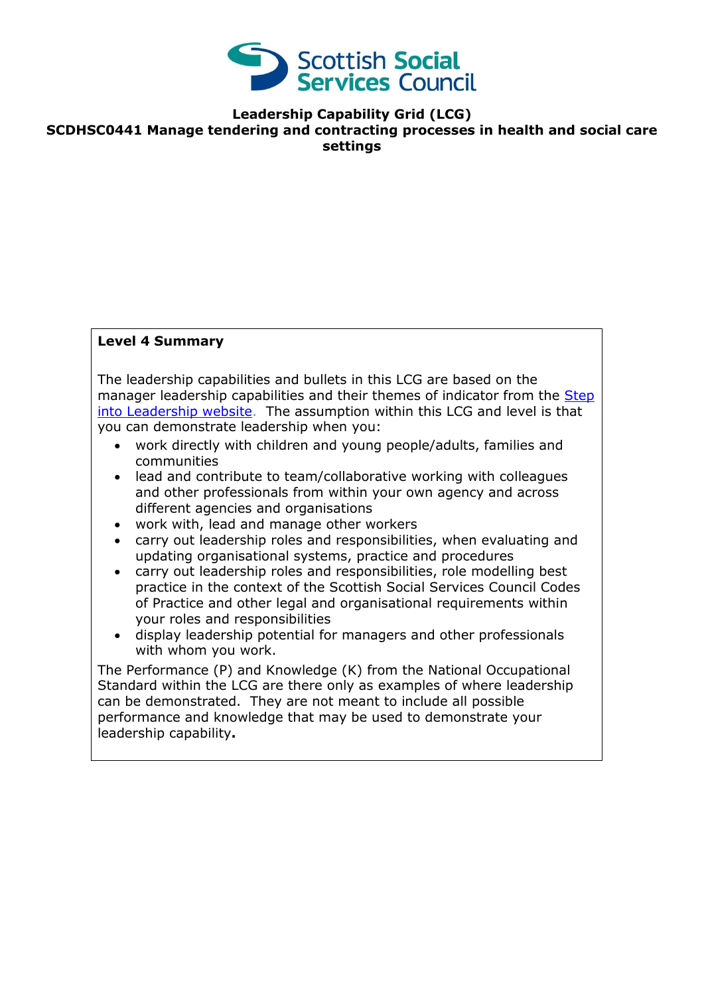

**Leadership Capability Grid (LCG)**

**SCDHSC0441 Manage tendering and contracting processes in health and social care settings**

### **Level 4 Summary**

The leadership capabilities and bullets in this LCG are based on the manager leadership capabilities and their themes of indicator from the Step [into Leadership website.](http://www.stepintoleadership.info/index.html) The assumption within this LCG and level is that you can demonstrate leadership when you:

- work directly with children and young people/adults, families and communities
- lead and contribute to team/collaborative working with colleagues and other professionals from within your own agency and across different agencies and organisations
- work with, lead and manage other workers
- carry out leadership roles and responsibilities, when evaluating and updating organisational systems, practice and procedures
- carry out leadership roles and responsibilities, role modelling best practice in the context of the Scottish Social Services Council Codes of Practice and other legal and organisational requirements within your roles and responsibilities
- display leadership potential for managers and other professionals with whom you work.

The Performance (P) and Knowledge (K) from the National Occupational Standard within the LCG are there only as examples of where leadership can be demonstrated. They are not meant to include all possible performance and knowledge that may be used to demonstrate your leadership capability**.**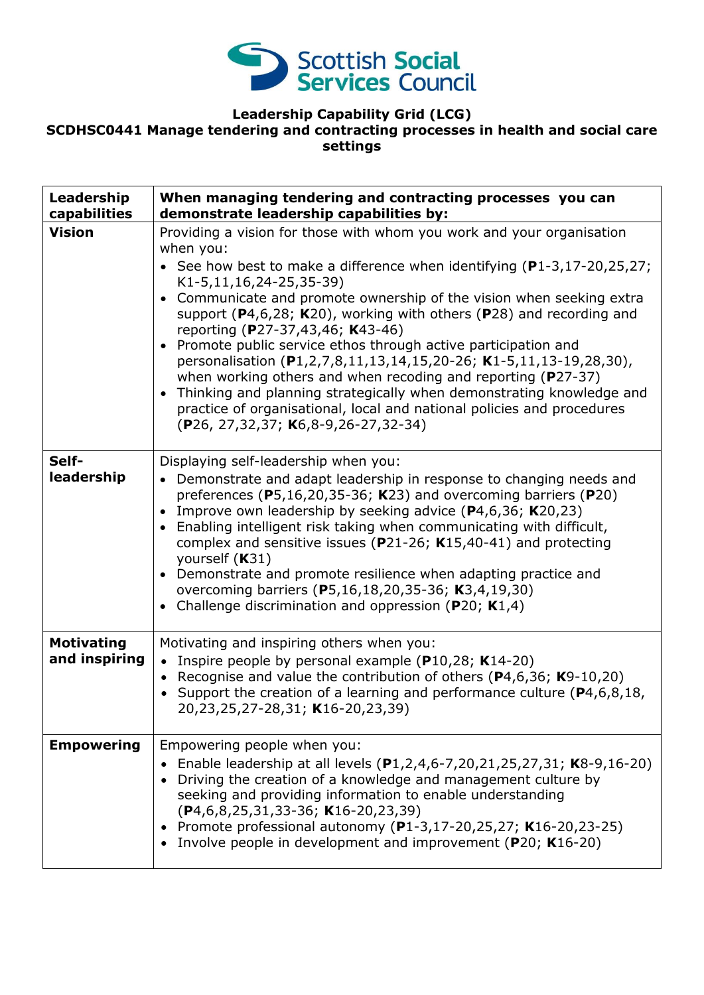

# **Leadership Capability Grid (LCG)**

## **SCDHSC0441 Manage tendering and contracting processes in health and social care settings**

| Leadership<br>capabilities         | When managing tendering and contracting processes you can<br>demonstrate leadership capabilities by:                                                                                                                                                                                                                                                                                                                                                                                                                                                                                                                                                                                                                                                                                                                          |
|------------------------------------|-------------------------------------------------------------------------------------------------------------------------------------------------------------------------------------------------------------------------------------------------------------------------------------------------------------------------------------------------------------------------------------------------------------------------------------------------------------------------------------------------------------------------------------------------------------------------------------------------------------------------------------------------------------------------------------------------------------------------------------------------------------------------------------------------------------------------------|
| <b>Vision</b>                      | Providing a vision for those with whom you work and your organisation<br>when you:<br>• See how best to make a difference when identifying $(P1-3, 17-20, 25, 27)$ ;<br>K1-5,11,16,24-25,35-39)<br>Communicate and promote ownership of the vision when seeking extra<br>$\bullet$<br>support ( $P4,6,28$ ; K20), working with others ( $P28$ ) and recording and<br>reporting (P27-37,43,46; K43-46)<br>Promote public service ethos through active participation and<br>personalisation (P1,2,7,8,11,13,14,15,20-26; K1-5,11,13-19,28,30),<br>when working others and when recoding and reporting ( $P27-37$ )<br>Thinking and planning strategically when demonstrating knowledge and<br>$\bullet$<br>practice of organisational, local and national policies and procedures<br>$(P26, 27, 32, 37; K6, 8-9, 26-27, 32-34)$ |
| Self-<br>leadership                | Displaying self-leadership when you:<br>• Demonstrate and adapt leadership in response to changing needs and<br>preferences (P5,16,20,35-36; K23) and overcoming barriers (P20)<br>Improve own leadership by seeking advice (P4,6,36; K20,23)<br>$\bullet$<br>Enabling intelligent risk taking when communicating with difficult,<br>complex and sensitive issues ( $P$ 21-26; K15,40-41) and protecting<br>yourself (K31)<br>Demonstrate and promote resilience when adapting practice and<br>$\bullet$<br>overcoming barriers (P5,16,18,20,35-36; K3,4,19,30)<br>Challenge discrimination and oppression ( $P20$ ; K1,4)                                                                                                                                                                                                    |
| <b>Motivating</b><br>and inspiring | Motivating and inspiring others when you:<br>• Inspire people by personal example ( $P10,28$ ; K14-20)<br>• Recognise and value the contribution of others ( $P$ 4,6,36; K9-10,20)<br>• Support the creation of a learning and performance culture ( $P4, 6, 8, 18$ ,<br>20,23,25,27-28,31; K16-20,23,39)                                                                                                                                                                                                                                                                                                                                                                                                                                                                                                                     |
| <b>Empowering</b>                  | Empowering people when you:<br>Enable leadership at all levels (P1,2,4,6-7,20,21,25,27,31; K8-9,16-20)<br>Driving the creation of a knowledge and management culture by<br>seeking and providing information to enable understanding<br>$(P4, 6, 8, 25, 31, 33-36; K16-20, 23, 39)$<br>• Promote professional autonomy (P1-3,17-20,25,27; K16-20,23-25)<br>Involve people in development and improvement (P20; K16-20)                                                                                                                                                                                                                                                                                                                                                                                                        |